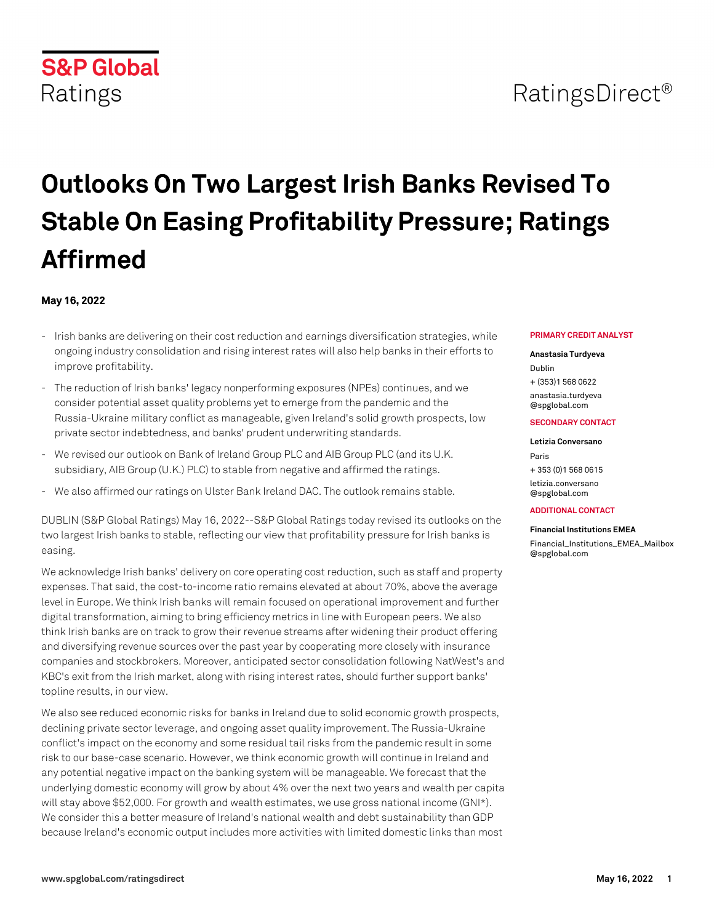# RatingsDirect<sup>®</sup>

# **Outlooks On Two Largest Irish Banks Revised To Stable On Easing Profitability Pressure; Ratings Affirmed**

## **May 16, 2022**

**S&P Global** 

Ratings

- Irish banks are delivering on their cost reduction and earnings diversification strategies, while ongoing industry consolidation and rising interest rates will also help banks in their efforts to improve profitability.
- The reduction of Irish banks' legacy nonperforming exposures (NPEs) continues, and we consider potential asset quality problems yet to emerge from the pandemic and the Russia-Ukraine military conflict as manageable, given Ireland's solid growth prospects, low private sector indebtedness, and banks' prudent underwriting standards.
- We revised our outlook on Bank of Ireland Group PLC and AIB Group PLC (and its U.K. subsidiary, AIB Group (U.K.) PLC) to stable from negative and affirmed the ratings.
- We also affirmed our ratings on Ulster Bank Ireland DAC. The outlook remains stable.

DUBLIN (S&P Global Ratings) May 16, 2022--S&P Global Ratings today revised its outlooks on the two largest Irish banks to stable, reflecting our view that profitability pressure for Irish banks is easing.

We acknowledge Irish banks' delivery on core operating cost reduction, such as staff and property expenses. That said, the cost-to-income ratio remains elevated at about 70%, above the average level in Europe. We think Irish banks will remain focused on operational improvement and further digital transformation, aiming to bring efficiency metrics in line with European peers. We also think Irish banks are on track to grow their revenue streams after widening their product offering and diversifying revenue sources over the past year by cooperating more closely with insurance companies and stockbrokers. Moreover, anticipated sector consolidation following NatWest's and KBC's exit from the Irish market, along with rising interest rates, should further support banks' topline results, in our view.

We also see reduced economic risks for banks in Ireland due to solid economic growth prospects, declining private sector leverage, and ongoing asset quality improvement. The Russia-Ukraine conflict's impact on the economy and some residual tail risks from the pandemic result in some risk to our base-case scenario. However, we think economic growth will continue in Ireland and any potential negative impact on the banking system will be manageable. We forecast that the underlying domestic economy will grow by about 4% over the next two years and wealth per capita will stay above \$52,000. For growth and wealth estimates, we use gross national income (GNI\*). We consider this a better measure of Ireland's national wealth and debt sustainability than GDP because Ireland's economic output includes more activities with limited domestic links than most

#### **PRIMARY CREDIT ANALYST**

#### **Anastasia Turdyeva**

Dublin + (353)1 568 0622 [anastasia.turdyeva](mailto: anastasia.turdyeva@spglobal.com) [@spglobal.com](mailto: anastasia.turdyeva@spglobal.com)

#### **SECONDARY CONTACT**

#### **Letizia Conversano**

Paris + 353 (0)1 568 0615 [letizia.conversano](mailto: letizia.conversano@spglobal.com) [@spglobal.com](mailto: letizia.conversano@spglobal.com)

#### **ADDITIONAL CONTACT**

**Financial Institutions EMEA** [Financial\\_Institutions\\_EMEA\\_Mailbox](mailto: Financial_Institutions_EMEA_Mailbox@spglobal.com) [@spglobal.com](mailto: Financial_Institutions_EMEA_Mailbox@spglobal.com)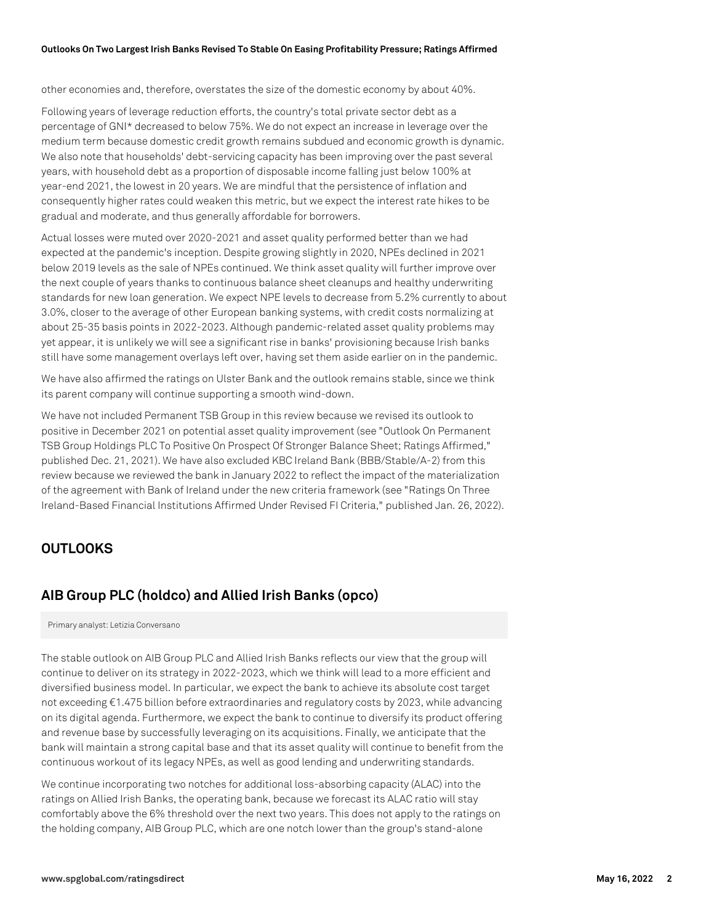other economies and, therefore, overstates the size of the domestic economy by about 40%.

Following years of leverage reduction efforts, the country's total private sector debt as a percentage of GNI\* decreased to below 75%. We do not expect an increase in leverage over the medium term because domestic credit growth remains subdued and economic growth is dynamic. We also note that households' debt-servicing capacity has been improving over the past several years, with household debt as a proportion of disposable income falling just below 100% at year-end 2021, the lowest in 20 years. We are mindful that the persistence of inflation and consequently higher rates could weaken this metric, but we expect the interest rate hikes to be gradual and moderate, and thus generally affordable for borrowers.

Actual losses were muted over 2020-2021 and asset quality performed better than we had expected at the pandemic's inception. Despite growing slightly in 2020, NPEs declined in 2021 below 2019 levels as the sale of NPEs continued. We think asset quality will further improve over the next couple of years thanks to continuous balance sheet cleanups and healthy underwriting standards for new loan generation. We expect NPE levels to decrease from 5.2% currently to about 3.0%, closer to the average of other European banking systems, with credit costs normalizing at about 25-35 basis points in 2022-2023. Although pandemic-related asset quality problems may yet appear, it is unlikely we will see a significant rise in banks' provisioning because Irish banks still have some management overlays left over, having set them aside earlier on in the pandemic.

We have also affirmed the ratings on Ulster Bank and the outlook remains stable, since we think its parent company will continue supporting a smooth wind-down.

We have not included Permanent TSB Group in this review because we revised its outlook to positive in December 2021 on potential asset quality improvement (see "Outlook On Permanent TSB Group Holdings PLC To Positive On Prospect Of Stronger Balance Sheet; Ratings Affirmed," published Dec. 21, 2021). We have also excluded KBC Ireland Bank (BBB/Stable/A-2) from this review because we reviewed the bank in January 2022 to reflect the impact of the materialization of the agreement with Bank of Ireland under the new criteria framework (see "Ratings On Three Ireland-Based Financial Institutions Affirmed Under Revised FI Criteria," published Jan. 26, 2022).

# **OUTLOOKS**

# **AIB Group PLC (holdco) and Allied Irish Banks (opco)**

Primary analyst: Letizia Conversano

The stable outlook on AIB Group PLC and Allied Irish Banks reflects our view that the group will continue to deliver on its strategy in 2022-2023, which we think will lead to a more efficient and diversified business model. In particular, we expect the bank to achieve its absolute cost target not exceeding €1.475 billion before extraordinaries and regulatory costs by 2023, while advancing on its digital agenda. Furthermore, we expect the bank to continue to diversify its product offering and revenue base by successfully leveraging on its acquisitions. Finally, we anticipate that the bank will maintain a strong capital base and that its asset quality will continue to benefit from the continuous workout of its legacy NPEs, as well as good lending and underwriting standards.

We continue incorporating two notches for additional loss-absorbing capacity (ALAC) into the ratings on Allied Irish Banks, the operating bank, because we forecast its ALAC ratio will stay comfortably above the 6% threshold over the next two years. This does not apply to the ratings on the holding company, AIB Group PLC, which are one notch lower than the group's stand-alone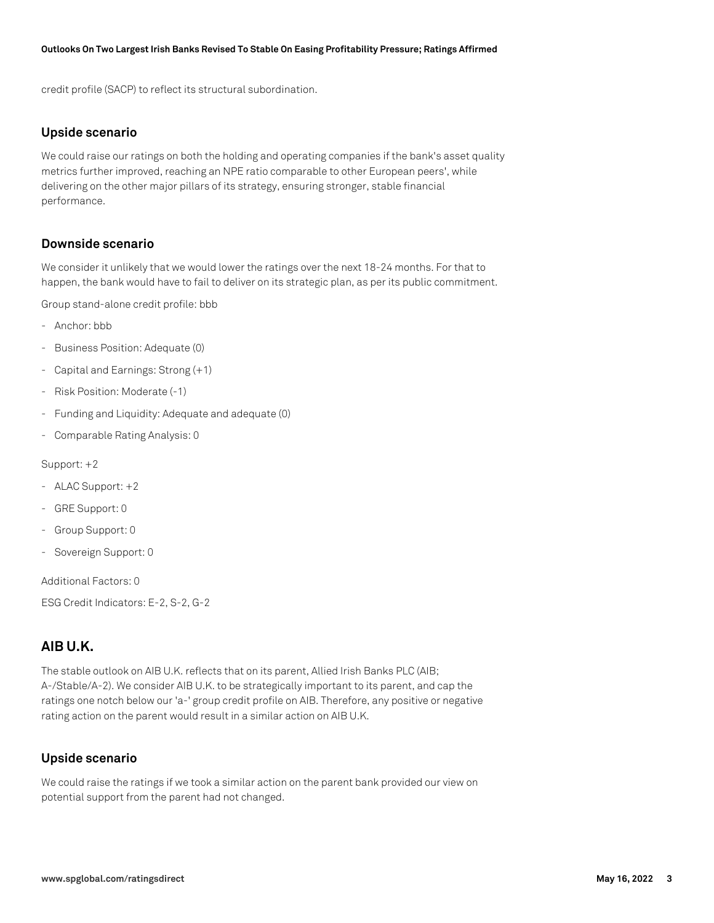credit profile (SACP) to reflect its structural subordination.

## **Upside scenario**

We could raise our ratings on both the holding and operating companies if the bank's asset quality metrics further improved, reaching an NPE ratio comparable to other European peers', while delivering on the other major pillars of its strategy, ensuring stronger, stable financial performance.

## **Downside scenario**

We consider it unlikely that we would lower the ratings over the next 18-24 months. For that to happen, the bank would have to fail to deliver on its strategic plan, as per its public commitment.

Group stand-alone credit profile: bbb

- Anchor: bbb
- Business Position: Adequate (0)
- Capital and Earnings: Strong (+1)
- Risk Position: Moderate (-1)
- Funding and Liquidity: Adequate and adequate (0)
- Comparable Rating Analysis: 0

Support: +2

- ALAC Support: +2
- GRE Support: 0
- Group Support: 0
- Sovereign Support: 0

Additional Factors: 0

ESG Credit Indicators: E-2, S-2, G-2

# **AIB U.K.**

The stable outlook on AIB U.K. reflects that on its parent, Allied Irish Banks PLC (AIB; A-/Stable/A-2). We consider AIB U.K. to be strategically important to its parent, and cap the ratings one notch below our 'a-' group credit profile on AIB. Therefore, any positive or negative rating action on the parent would result in a similar action on AIB U.K.

## **Upside scenario**

We could raise the ratings if we took a similar action on the parent bank provided our view on potential support from the parent had not changed.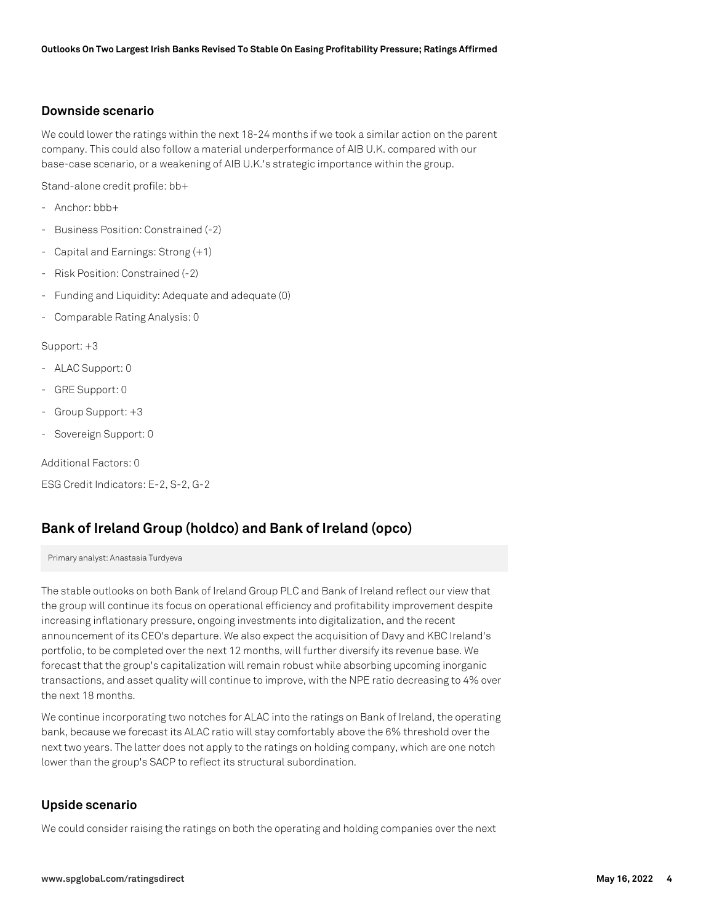## **Downside scenario**

We could lower the ratings within the next 18-24 months if we took a similar action on the parent company. This could also follow a material underperformance of AIB U.K. compared with our base-case scenario, or a weakening of AIB U.K.'s strategic importance within the group.

Stand-alone credit profile: bb+

- Anchor: bbb+
- Business Position: Constrained (-2)
- Capital and Earnings: Strong (+1)
- Risk Position: Constrained (-2)
- Funding and Liquidity: Adequate and adequate (0)
- Comparable Rating Analysis: 0

#### Support: +3

- ALAC Support: 0
- GRE Support: 0
- Group Support: +3
- Sovereign Support: 0

Additional Factors: 0

ESG Credit Indicators: E-2, S-2, G-2

# **Bank of Ireland Group (holdco) and Bank of Ireland (opco)**

Primary analyst: Anastasia Turdyeva

The stable outlooks on both Bank of Ireland Group PLC and Bank of Ireland reflect our view that the group will continue its focus on operational efficiency and profitability improvement despite increasing inflationary pressure, ongoing investments into digitalization, and the recent announcement of its CEO's departure. We also expect the acquisition of Davy and KBC Ireland's portfolio, to be completed over the next 12 months, will further diversify its revenue base. We forecast that the group's capitalization will remain robust while absorbing upcoming inorganic transactions, and asset quality will continue to improve, with the NPE ratio decreasing to 4% over the next 18 months.

We continue incorporating two notches for ALAC into the ratings on Bank of Ireland, the operating bank, because we forecast its ALAC ratio will stay comfortably above the 6% threshold over the next two years. The latter does not apply to the ratings on holding company, which are one notch lower than the group's SACP to reflect its structural subordination.

## **Upside scenario**

We could consider raising the ratings on both the operating and holding companies over the next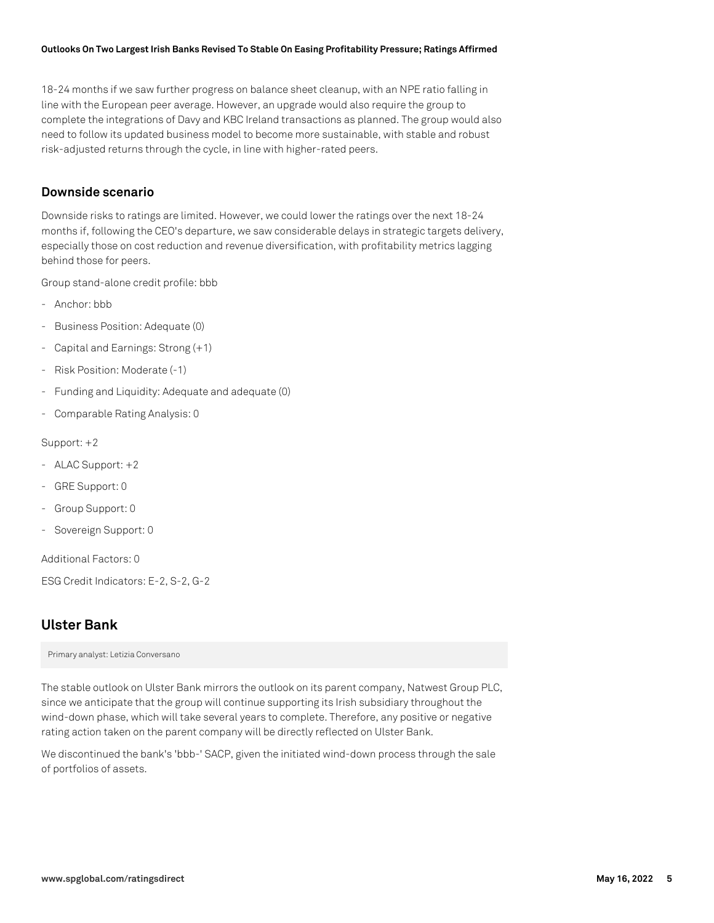18-24 months if we saw further progress on balance sheet cleanup, with an NPE ratio falling in line with the European peer average. However, an upgrade would also require the group to complete the integrations of Davy and KBC Ireland transactions as planned. The group would also need to follow its updated business model to become more sustainable, with stable and robust risk-adjusted returns through the cycle, in line with higher-rated peers.

# **Downside scenario**

Downside risks to ratings are limited. However, we could lower the ratings over the next 18-24 months if, following the CEO's departure, we saw considerable delays in strategic targets delivery, especially those on cost reduction and revenue diversification, with profitability metrics lagging behind those for peers.

Group stand-alone credit profile: bbb

- Anchor: bbb
- Business Position: Adequate (0)
- Capital and Earnings: Strong (+1)
- Risk Position: Moderate (-1)
- Funding and Liquidity: Adequate and adequate (0)
- Comparable Rating Analysis: 0

#### Support: +2

- ALAC Support: +2
- GRE Support: 0
- Group Support: 0
- Sovereign Support: 0

Additional Factors: 0

ESG Credit Indicators: E-2, S-2, G-2

# **Ulster Bank**

Primary analyst: Letizia Conversano

The stable outlook on Ulster Bank mirrors the outlook on its parent company, Natwest Group PLC, since we anticipate that the group will continue supporting its Irish subsidiary throughout the wind-down phase, which will take several years to complete. Therefore, any positive or negative rating action taken on the parent company will be directly reflected on Ulster Bank.

We discontinued the bank's 'bbb-' SACP, given the initiated wind-down process through the sale of portfolios of assets.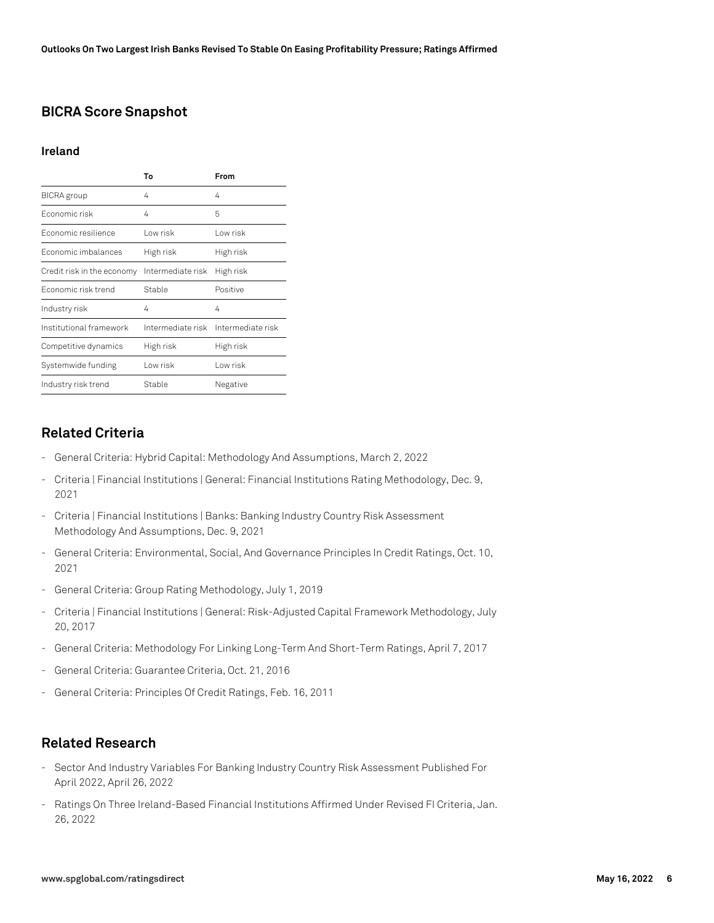# **BICRA Score Snapshot**

#### **Ireland**

|                            | Т٥                | From                                |
|----------------------------|-------------------|-------------------------------------|
| BICRA group                | 4                 | 4                                   |
| Fconomic risk              | 4                 | 5                                   |
| Economic resilience        | Low risk          | l ow risk                           |
| Economic imbalances        | High risk         | High risk                           |
| Credit risk in the economy | Intermediate risk | High risk                           |
| Fconomic risk trend        | Stable            | Positive                            |
| Industry risk              | 4                 | 4                                   |
| Institutional framework    |                   | Intermediate risk Intermediate risk |
| Competitive dynamics       | High risk         | High risk                           |
| Systemwide funding         | Low risk          | I ow risk                           |
| Industry risk trend        | Stable            | Negative                            |

# **Related Criteria**

- General Criteria: Hybrid Capital: Methodology And Assumptions, March 2, 2022
- Criteria | Financial Institutions | General: Financial Institutions Rating Methodology, Dec. 9, 2021
- Criteria | Financial Institutions | Banks: Banking Industry Country Risk Assessment Methodology And Assumptions, Dec. 9, 2021
- General Criteria: Environmental, Social, And Governance Principles In Credit Ratings, Oct. 10, 2021
- General Criteria: Group Rating Methodology, July 1, 2019
- Criteria | Financial Institutions | General: Risk-Adjusted Capital Framework Methodology, July 20, 2017
- General Criteria: Methodology For Linking Long-Term And Short-Term Ratings, April 7, 2017
- General Criteria: Guarantee Criteria, Oct. 21, 2016
- General Criteria: Principles Of Credit Ratings, Feb. 16, 2011

# **Related Research**

- Sector And Industry Variables For Banking Industry Country Risk Assessment Published For April 2022, April 26, 2022
- Ratings On Three Ireland-Based Financial Institutions Affirmed Under Revised FI Criteria, Jan. 26, 2022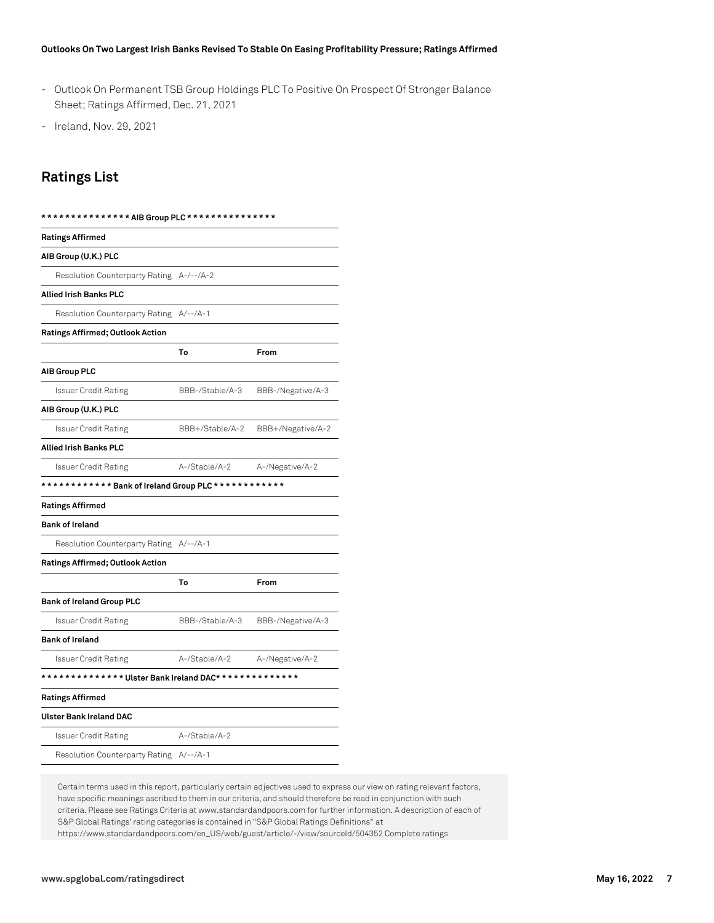- Outlook On Permanent TSB Group Holdings PLC To Positive On Prospect Of Stronger Balance Sheet; Ratings Affirmed, Dec. 21, 2021
- Ireland, Nov. 29, 2021

# **Ratings List**

| <b>Ratings Affirmed</b>                              |                 |                   |  |
|------------------------------------------------------|-----------------|-------------------|--|
| AIB Group (U.K.) PLC                                 |                 |                   |  |
| Resolution Counterparty Rating A-/--/A-2             |                 |                   |  |
| Allied Irish Banks PLC                               |                 |                   |  |
| Resolution Counterparty Rating A/--/A-1              |                 |                   |  |
| Ratings Affirmed; Outlook Action                     |                 |                   |  |
|                                                      | To              | From              |  |
| AIB Group PLC                                        |                 |                   |  |
| Issuer Credit Rating                                 | BBB-/Stable/A-3 | BBB-/Negative/A-3 |  |
| AIB Group (U.K.) PLC                                 |                 |                   |  |
| Issuer Credit Rating                                 | BBB+/Stable/A-2 | BBB+/Negative/A-2 |  |
| Allied Irish Banks PLC                               |                 |                   |  |
| Issuer Credit Rating                                 | A-/Stable/A-2   | A-/Negative/A-2   |  |
| ************ Bank of Ireland Group PLC ************  |                 |                   |  |
| <b>Ratings Affirmed</b>                              |                 |                   |  |
| <b>Bank of Ireland</b>                               |                 |                   |  |
| Resolution Counterparty Rating                       | $A/-- /A-1$     |                   |  |
| Ratings Affirmed; Outlook Action                     |                 |                   |  |
|                                                      | To              | From              |  |
| <b>Bank of Ireland Group PLC</b>                     |                 |                   |  |
| Issuer Credit Rating                                 | BBB-/Stable/A-3 | BBB-/Negative/A-3 |  |
| <b>Bank of Ireland</b>                               |                 |                   |  |
| Issuer Credit Rating                                 | A-/Stable/A-2   | A-/Negative/A-2   |  |
| ************** Ulster Bank Ireland DAC************** |                 |                   |  |
| <b>Ratings Affirmed</b>                              |                 |                   |  |
| Ulster Bank Ireland DAC                              |                 |                   |  |
| Issuer Credit Rating                                 | A-/Stable/A-2   |                   |  |
| Resolution Counterparty Rating A/--/A-1              |                 |                   |  |

Certain terms used in this report, particularly certain adjectives used to express our view on rating relevant factors, have specific meanings ascribed to them in our criteria, and should therefore be read in conjunction with such criteria. Please see Ratings Criteria at www.standardandpoors.com for further information. A description of each of S&P Global Ratings' rating categories is contained in "S&P Global Ratings Definitions" at https://www.standardandpoors.com/en\_US/web/guest/article/-/view/sourceId/504352 Complete ratings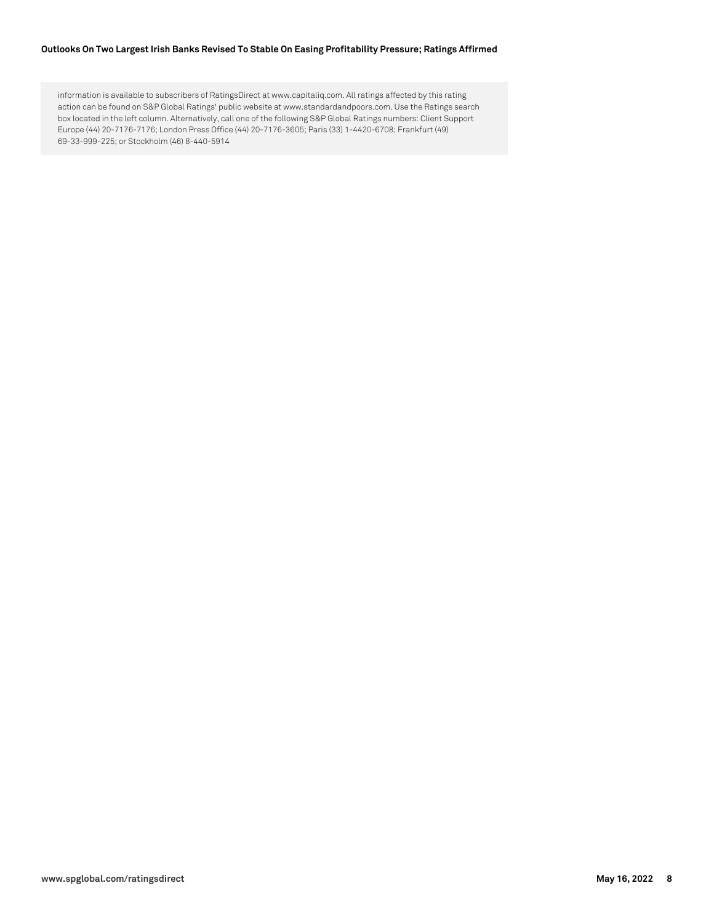information is available to subscribers of RatingsDirect at www.capitaliq.com. All ratings affected by this rating action can be found on S&P Global Ratings' public website at www.standardandpoors.com. Use the Ratings search box located in the left column. Alternatively, call one of the following S&P Global Ratings numbers: Client Support Europe (44) 20-7176-7176; London Press Office (44) 20-7176-3605; Paris (33) 1-4420-6708; Frankfurt (49) 69-33-999-225; or Stockholm (46) 8-440-5914